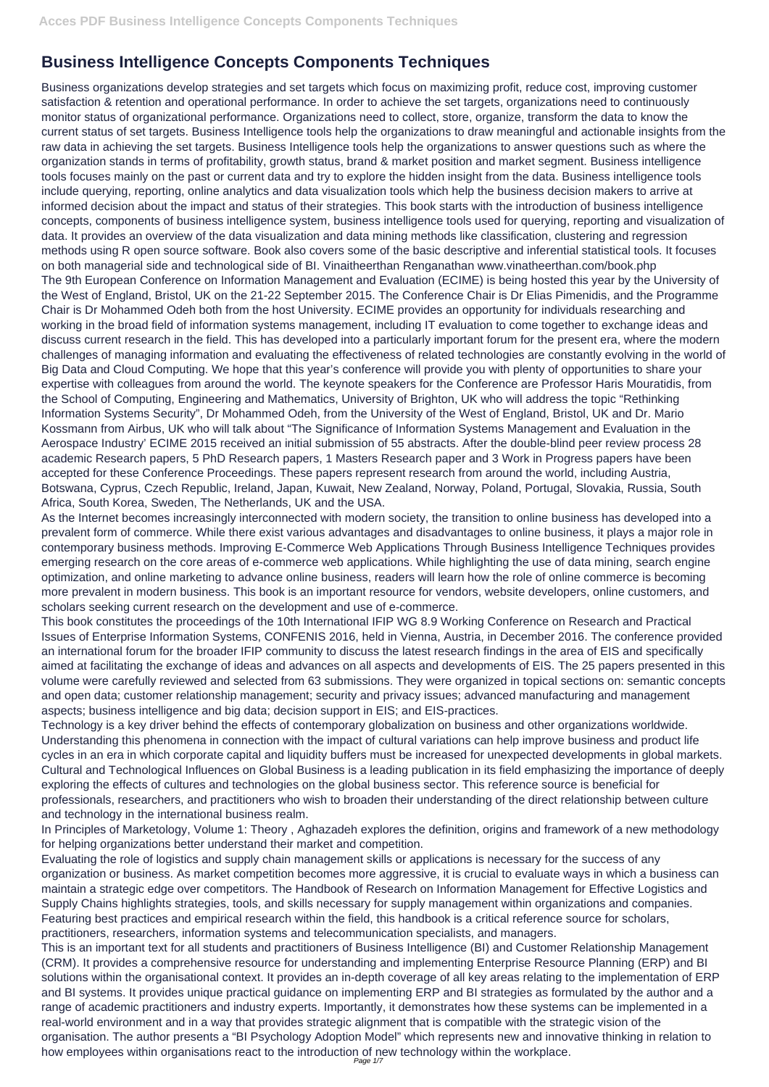## **Business Intelligence Concepts Components Techniques**

Business organizations develop strategies and set targets which focus on maximizing profit, reduce cost, improving customer satisfaction & retention and operational performance. In order to achieve the set targets, organizations need to continuously monitor status of organizational performance. Organizations need to collect, store, organize, transform the data to know the current status of set targets. Business Intelligence tools help the organizations to draw meaningful and actionable insights from the raw data in achieving the set targets. Business Intelligence tools help the organizations to answer questions such as where the organization stands in terms of profitability, growth status, brand & market position and market segment. Business intelligence tools focuses mainly on the past or current data and try to explore the hidden insight from the data. Business intelligence tools include querying, reporting, online analytics and data visualization tools which help the business decision makers to arrive at informed decision about the impact and status of their strategies. This book starts with the introduction of business intelligence concepts, components of business intelligence system, business intelligence tools used for querying, reporting and visualization of data. It provides an overview of the data visualization and data mining methods like classification, clustering and regression methods using R open source software. Book also covers some of the basic descriptive and inferential statistical tools. It focuses on both managerial side and technological side of BI. Vinaitheerthan Renganathan www.vinatheerthan.com/book.php The 9th European Conference on Information Management and Evaluation (ECIME) is being hosted this year by the University of the West of England, Bristol, UK on the 21-22 September 2015. The Conference Chair is Dr Elias Pimenidis, and the Programme Chair is Dr Mohammed Odeh both from the host University. ECIME provides an opportunity for individuals researching and working in the broad field of information systems management, including IT evaluation to come together to exchange ideas and discuss current research in the field. This has developed into a particularly important forum for the present era, where the modern challenges of managing information and evaluating the effectiveness of related technologies are constantly evolving in the world of Big Data and Cloud Computing. We hope that this year's conference will provide you with plenty of opportunities to share your expertise with colleagues from around the world. The keynote speakers for the Conference are Professor Haris Mouratidis, from the School of Computing, Engineering and Mathematics, University of Brighton, UK who will address the topic "Rethinking Information Systems Security", Dr Mohammed Odeh, from the University of the West of England, Bristol, UK and Dr. Mario Kossmann from Airbus, UK who will talk about "The Significance of Information Systems Management and Evaluation in the Aerospace Industry' ECIME 2015 received an initial submission of 55 abstracts. After the double-blind peer review process 28 academic Research papers, 5 PhD Research papers, 1 Masters Research paper and 3 Work in Progress papers have been accepted for these Conference Proceedings. These papers represent research from around the world, including Austria, Botswana, Cyprus, Czech Republic, Ireland, Japan, Kuwait, New Zealand, Norway, Poland, Portugal, Slovakia, Russia, South Africa, South Korea, Sweden, The Netherlands, UK and the USA.

As the Internet becomes increasingly interconnected with modern society, the transition to online business has developed into a prevalent form of commerce. While there exist various advantages and disadvantages to online business, it plays a major role in contemporary business methods. Improving E-Commerce Web Applications Through Business Intelligence Techniques provides emerging research on the core areas of e-commerce web applications. While highlighting the use of data mining, search engine optimization, and online marketing to advance online business, readers will learn how the role of online commerce is becoming more prevalent in modern business. This book is an important resource for vendors, website developers, online customers, and scholars seeking current research on the development and use of e-commerce.

This book constitutes the proceedings of the 10th International IFIP WG 8.9 Working Conference on Research and Practical Issues of Enterprise Information Systems, CONFENIS 2016, held in Vienna, Austria, in December 2016. The conference provided an international forum for the broader IFIP community to discuss the latest research findings in the area of EIS and specifically aimed at facilitating the exchange of ideas and advances on all aspects and developments of EIS. The 25 papers presented in this volume were carefully reviewed and selected from 63 submissions. They were organized in topical sections on: semantic concepts and open data; customer relationship management; security and privacy issues; advanced manufacturing and management aspects; business intelligence and big data; decision support in EIS; and EIS-practices.

Technology is a key driver behind the effects of contemporary globalization on business and other organizations worldwide. Understanding this phenomena in connection with the impact of cultural variations can help improve business and product life cycles in an era in which corporate capital and liquidity buffers must be increased for unexpected developments in global markets. Cultural and Technological Influences on Global Business is a leading publication in its field emphasizing the importance of deeply exploring the effects of cultures and technologies on the global business sector. This reference source is beneficial for professionals, researchers, and practitioners who wish to broaden their understanding of the direct relationship between culture and technology in the international business realm.

In Principles of Marketology, Volume 1: Theory , Aghazadeh explores the definition, origins and framework of a new methodology for helping organizations better understand their market and competition.

Evaluating the role of logistics and supply chain management skills or applications is necessary for the success of any organization or business. As market competition becomes more aggressive, it is crucial to evaluate ways in which a business can maintain a strategic edge over competitors. The Handbook of Research on Information Management for Effective Logistics and Supply Chains highlights strategies, tools, and skills necessary for supply management within organizations and companies. Featuring best practices and empirical research within the field, this handbook is a critical reference source for scholars, practitioners, researchers, information systems and telecommunication specialists, and managers.

This is an important text for all students and practitioners of Business Intelligence (BI) and Customer Relationship Management (CRM). It provides a comprehensive resource for understanding and implementing Enterprise Resource Planning (ERP) and BI solutions within the organisational context. It provides an in-depth coverage of all key areas relating to the implementation of ERP and BI systems. It provides unique practical guidance on implementing ERP and BI strategies as formulated by the author and a range of academic practitioners and industry experts. Importantly, it demonstrates how these systems can be implemented in a real-world environment and in a way that provides strategic alignment that is compatible with the strategic vision of the organisation. The author presents a "BI Psychology Adoption Model" which represents new and innovative thinking in relation to how employees within organisations react to the introduction of new technology within the workplace.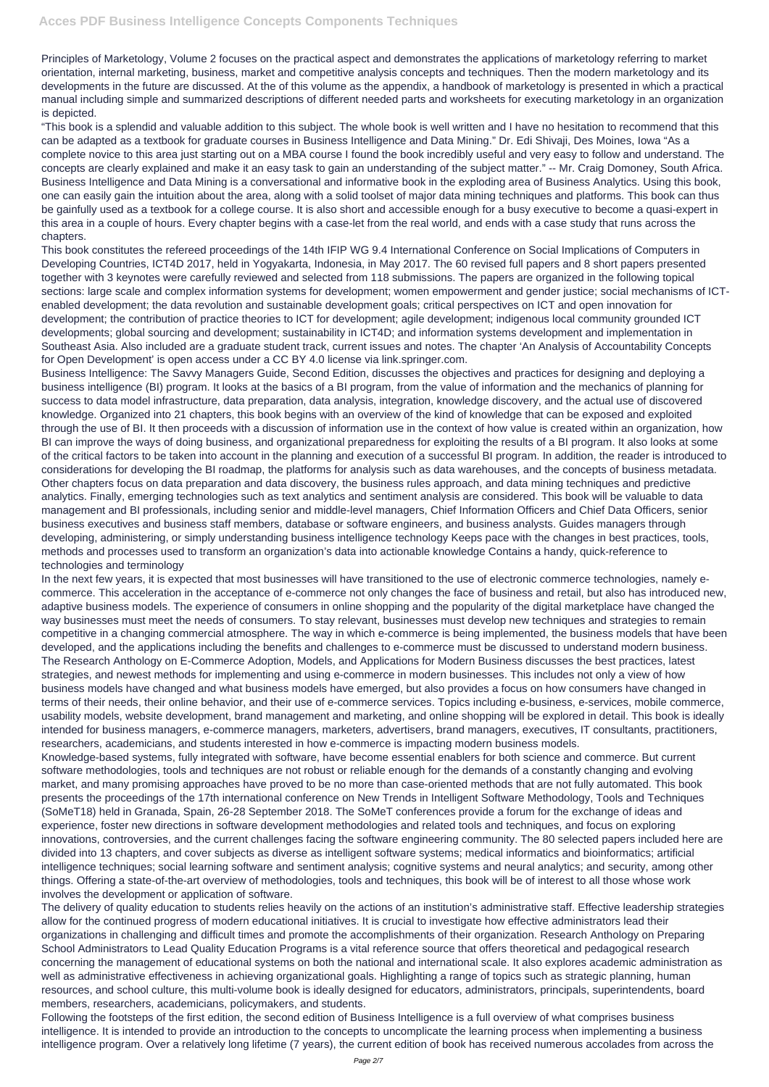Principles of Marketology, Volume 2 focuses on the practical aspect and demonstrates the applications of marketology referring to market orientation, internal marketing, business, market and competitive analysis concepts and techniques. Then the modern marketology and its developments in the future are discussed. At the of this volume as the appendix, a handbook of marketology is presented in which a practical manual including simple and summarized descriptions of different needed parts and worksheets for executing marketology in an organization is depicted.

"This book is a splendid and valuable addition to this subject. The whole book is well written and I have no hesitation to recommend that this can be adapted as a textbook for graduate courses in Business Intelligence and Data Mining." Dr. Edi Shivaji, Des Moines, Iowa "As a complete novice to this area just starting out on a MBA course I found the book incredibly useful and very easy to follow and understand. The concepts are clearly explained and make it an easy task to gain an understanding of the subject matter." -- Mr. Craig Domoney, South Africa. Business Intelligence and Data Mining is a conversational and informative book in the exploding area of Business Analytics. Using this book, one can easily gain the intuition about the area, along with a solid toolset of major data mining techniques and platforms. This book can thus be gainfully used as a textbook for a college course. It is also short and accessible enough for a busy executive to become a quasi-expert in this area in a couple of hours. Every chapter begins with a case-let from the real world, and ends with a case study that runs across the chapters.

This book constitutes the refereed proceedings of the 14th IFIP WG 9.4 International Conference on Social Implications of Computers in Developing Countries, ICT4D 2017, held in Yogyakarta, Indonesia, in May 2017. The 60 revised full papers and 8 short papers presented together with 3 keynotes were carefully reviewed and selected from 118 submissions. The papers are organized in the following topical sections: large scale and complex information systems for development; women empowerment and gender justice; social mechanisms of ICTenabled development; the data revolution and sustainable development goals; critical perspectives on ICT and open innovation for development; the contribution of practice theories to ICT for development; agile development; indigenous local community grounded ICT developments; global sourcing and development; sustainability in ICT4D; and information systems development and implementation in Southeast Asia. Also included are a graduate student track, current issues and notes. The chapter 'An Analysis of Accountability Concepts for Open Development' is open access under a CC BY 4.0 license via link.springer.com.

In the next few years, it is expected that most businesses will have transitioned to the use of electronic commerce technologies, namely ecommerce. This acceleration in the acceptance of e-commerce not only changes the face of business and retail, but also has introduced new, adaptive business models. The experience of consumers in online shopping and the popularity of the digital marketplace have changed the way businesses must meet the needs of consumers. To stay relevant, businesses must develop new techniques and strategies to remain competitive in a changing commercial atmosphere. The way in which e-commerce is being implemented, the business models that have been developed, and the applications including the benefits and challenges to e-commerce must be discussed to understand modern business. The Research Anthology on E-Commerce Adoption, Models, and Applications for Modern Business discusses the best practices, latest strategies, and newest methods for implementing and using e-commerce in modern businesses. This includes not only a view of how business models have changed and what business models have emerged, but also provides a focus on how consumers have changed in terms of their needs, their online behavior, and their use of e-commerce services. Topics including e-business, e-services, mobile commerce, usability models, website development, brand management and marketing, and online shopping will be explored in detail. This book is ideally intended for business managers, e-commerce managers, marketers, advertisers, brand managers, executives, IT consultants, practitioners, researchers, academicians, and students interested in how e-commerce is impacting modern business models.

Business Intelligence: The Savvy Managers Guide, Second Edition, discusses the objectives and practices for designing and deploying a business intelligence (BI) program. It looks at the basics of a BI program, from the value of information and the mechanics of planning for success to data model infrastructure, data preparation, data analysis, integration, knowledge discovery, and the actual use of discovered knowledge. Organized into 21 chapters, this book begins with an overview of the kind of knowledge that can be exposed and exploited through the use of BI. It then proceeds with a discussion of information use in the context of how value is created within an organization, how BI can improve the ways of doing business, and organizational preparedness for exploiting the results of a BI program. It also looks at some of the critical factors to be taken into account in the planning and execution of a successful BI program. In addition, the reader is introduced to considerations for developing the BI roadmap, the platforms for analysis such as data warehouses, and the concepts of business metadata. Other chapters focus on data preparation and data discovery, the business rules approach, and data mining techniques and predictive analytics. Finally, emerging technologies such as text analytics and sentiment analysis are considered. This book will be valuable to data management and BI professionals, including senior and middle-level managers, Chief Information Officers and Chief Data Officers, senior business executives and business staff members, database or software engineers, and business analysts. Guides managers through developing, administering, or simply understanding business intelligence technology Keeps pace with the changes in best practices, tools, methods and processes used to transform an organization's data into actionable knowledge Contains a handy, quick-reference to technologies and terminology

Knowledge-based systems, fully integrated with software, have become essential enablers for both science and commerce. But current software methodologies, tools and techniques are not robust or reliable enough for the demands of a constantly changing and evolving market, and many promising approaches have proved to be no more than case-oriented methods that are not fully automated. This book presents the proceedings of the 17th international conference on New Trends in Intelligent Software Methodology, Tools and Techniques (SoMeT18) held in Granada, Spain, 26-28 September 2018. The SoMeT conferences provide a forum for the exchange of ideas and experience, foster new directions in software development methodologies and related tools and techniques, and focus on exploring innovations, controversies, and the current challenges facing the software engineering community. The 80 selected papers included here are divided into 13 chapters, and cover subjects as diverse as intelligent software systems; medical informatics and bioinformatics; artificial intelligence techniques; social learning software and sentiment analysis; cognitive systems and neural analytics; and security, among other things. Offering a state-of-the-art overview of methodologies, tools and techniques, this book will be of interest to all those whose work involves the development or application of software. The delivery of quality education to students relies heavily on the actions of an institution's administrative staff. Effective leadership strategies allow for the continued progress of modern educational initiatives. It is crucial to investigate how effective administrators lead their organizations in challenging and difficult times and promote the accomplishments of their organization. Research Anthology on Preparing School Administrators to Lead Quality Education Programs is a vital reference source that offers theoretical and pedagogical research concerning the management of educational systems on both the national and international scale. It also explores academic administration as well as administrative effectiveness in achieving organizational goals. Highlighting a range of topics such as strategic planning, human resources, and school culture, this multi-volume book is ideally designed for educators, administrators, principals, superintendents, board members, researchers, academicians, policymakers, and students.

Following the footsteps of the first edition, the second edition of Business Intelligence is a full overview of what comprises business intelligence. It is intended to provide an introduction to the concepts to uncomplicate the learning process when implementing a business intelligence program. Over a relatively long lifetime (7 years), the current edition of book has received numerous accolades from across the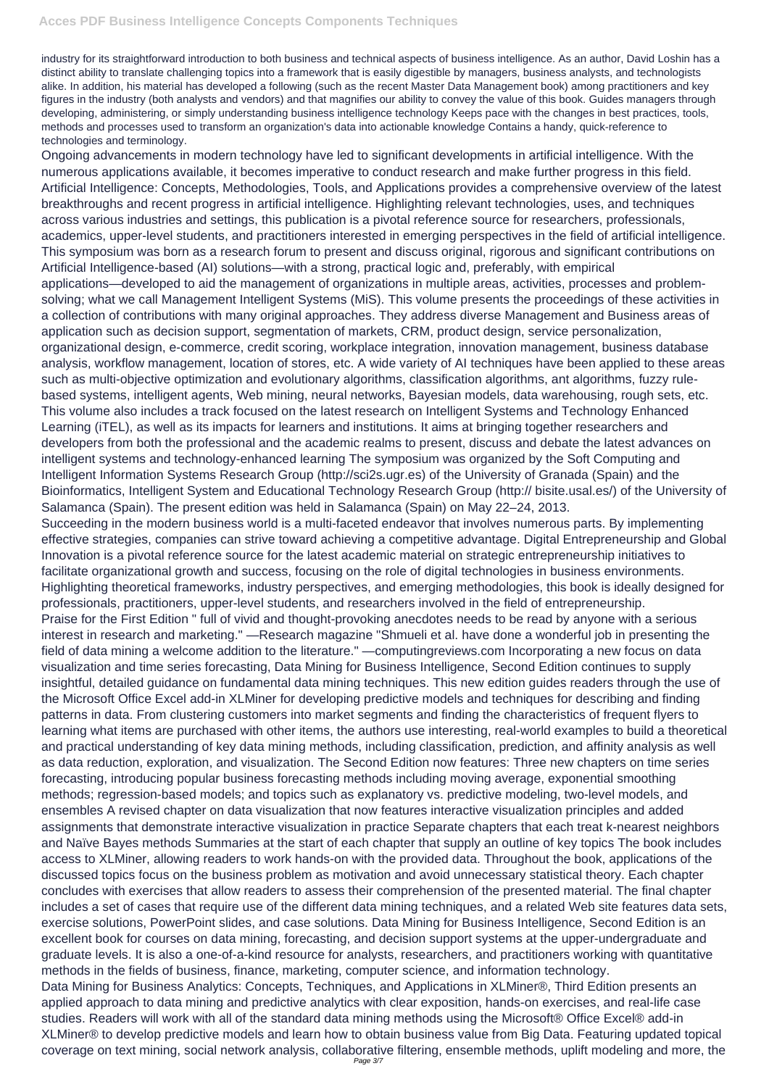industry for its straightforward introduction to both business and technical aspects of business intelligence. As an author, David Loshin has a distinct ability to translate challenging topics into a framework that is easily digestible by managers, business analysts, and technologists alike. In addition, his material has developed a following (such as the recent Master Data Management book) among practitioners and key figures in the industry (both analysts and vendors) and that magnifies our ability to convey the value of this book. Guides managers through developing, administering, or simply understanding business intelligence technology Keeps pace with the changes in best practices, tools, methods and processes used to transform an organization's data into actionable knowledge Contains a handy, quick-reference to technologies and terminology.

Ongoing advancements in modern technology have led to significant developments in artificial intelligence. With the numerous applications available, it becomes imperative to conduct research and make further progress in this field. Artificial Intelligence: Concepts, Methodologies, Tools, and Applications provides a comprehensive overview of the latest breakthroughs and recent progress in artificial intelligence. Highlighting relevant technologies, uses, and techniques across various industries and settings, this publication is a pivotal reference source for researchers, professionals, academics, upper-level students, and practitioners interested in emerging perspectives in the field of artificial intelligence. This symposium was born as a research forum to present and discuss original, rigorous and significant contributions on Artificial Intelligence-based (AI) solutions—with a strong, practical logic and, preferably, with empirical applications—developed to aid the management of organizations in multiple areas, activities, processes and problemsolving; what we call Management Intelligent Systems (MiS). This volume presents the proceedings of these activities in a collection of contributions with many original approaches. They address diverse Management and Business areas of application such as decision support, segmentation of markets, CRM, product design, service personalization, organizational design, e-commerce, credit scoring, workplace integration, innovation management, business database analysis, workflow management, location of stores, etc. A wide variety of AI techniques have been applied to these areas such as multi-objective optimization and evolutionary algorithms, classification algorithms, ant algorithms, fuzzy rulebased systems, intelligent agents, Web mining, neural networks, Bayesian models, data warehousing, rough sets, etc. This volume also includes a track focused on the latest research on Intelligent Systems and Technology Enhanced Learning (iTEL), as well as its impacts for learners and institutions. It aims at bringing together researchers and developers from both the professional and the academic realms to present, discuss and debate the latest advances on intelligent systems and technology-enhanced learning The symposium was organized by the Soft Computing and Intelligent Information Systems Research Group (http://sci2s.ugr.es) of the University of Granada (Spain) and the Bioinformatics, Intelligent System and Educational Technology Research Group (http:// bisite.usal.es/) of the University of Salamanca (Spain). The present edition was held in Salamanca (Spain) on May 22–24, 2013.

Succeeding in the modern business world is a multi-faceted endeavor that involves numerous parts. By implementing effective strategies, companies can strive toward achieving a competitive advantage. Digital Entrepreneurship and Global Innovation is a pivotal reference source for the latest academic material on strategic entrepreneurship initiatives to facilitate organizational growth and success, focusing on the role of digital technologies in business environments. Highlighting theoretical frameworks, industry perspectives, and emerging methodologies, this book is ideally designed for professionals, practitioners, upper-level students, and researchers involved in the field of entrepreneurship. Praise for the First Edition " full of vivid and thought-provoking anecdotes needs to be read by anyone with a serious interest in research and marketing." —Research magazine "Shmueli et al. have done a wonderful job in presenting the field of data mining a welcome addition to the literature." —computingreviews.com Incorporating a new focus on data visualization and time series forecasting, Data Mining for Business Intelligence, Second Edition continues to supply insightful, detailed guidance on fundamental data mining techniques. This new edition guides readers through the use of the Microsoft Office Excel add-in XLMiner for developing predictive models and techniques for describing and finding patterns in data. From clustering customers into market segments and finding the characteristics of frequent flyers to learning what items are purchased with other items, the authors use interesting, real-world examples to build a theoretical and practical understanding of key data mining methods, including classification, prediction, and affinity analysis as well as data reduction, exploration, and visualization. The Second Edition now features: Three new chapters on time series forecasting, introducing popular business forecasting methods including moving average, exponential smoothing methods; regression-based models; and topics such as explanatory vs. predictive modeling, two-level models, and ensembles A revised chapter on data visualization that now features interactive visualization principles and added assignments that demonstrate interactive visualization in practice Separate chapters that each treat k-nearest neighbors and Naïve Bayes methods Summaries at the start of each chapter that supply an outline of key topics The book includes access to XLMiner, allowing readers to work hands-on with the provided data. Throughout the book, applications of the discussed topics focus on the business problem as motivation and avoid unnecessary statistical theory. Each chapter concludes with exercises that allow readers to assess their comprehension of the presented material. The final chapter includes a set of cases that require use of the different data mining techniques, and a related Web site features data sets, exercise solutions, PowerPoint slides, and case solutions. Data Mining for Business Intelligence, Second Edition is an excellent book for courses on data mining, forecasting, and decision support systems at the upper-undergraduate and graduate levels. It is also a one-of-a-kind resource for analysts, researchers, and practitioners working with quantitative methods in the fields of business, finance, marketing, computer science, and information technology. Data Mining for Business Analytics: Concepts, Techniques, and Applications in XLMiner®, Third Edition presents an applied approach to data mining and predictive analytics with clear exposition, hands-on exercises, and real-life case studies. Readers will work with all of the standard data mining methods using the Microsoft® Office Excel® add-in XLMiner® to develop predictive models and learn how to obtain business value from Big Data. Featuring updated topical coverage on text mining, social network analysis, collaborative filtering, ensemble methods, uplift modeling and more, the Page 3/7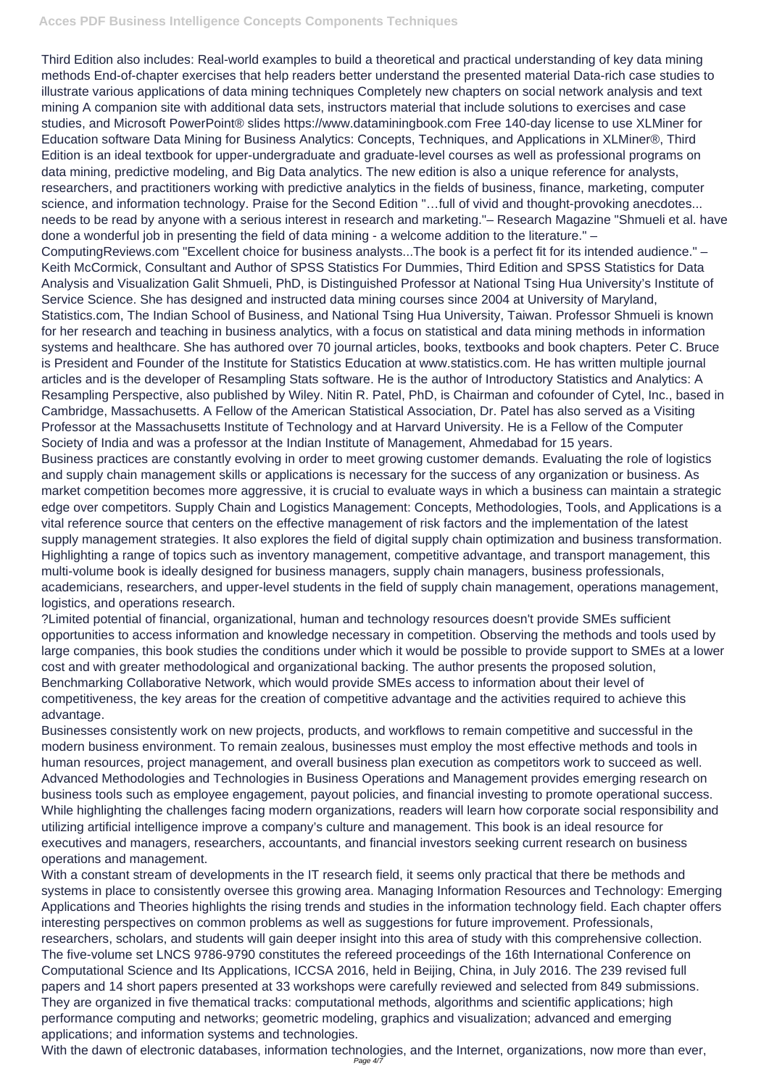## **Acces PDF Business Intelligence Concepts Components Techniques**

Third Edition also includes: Real-world examples to build a theoretical and practical understanding of key data mining methods End-of-chapter exercises that help readers better understand the presented material Data-rich case studies to illustrate various applications of data mining techniques Completely new chapters on social network analysis and text mining A companion site with additional data sets, instructors material that include solutions to exercises and case studies, and Microsoft PowerPoint® slides https://www.dataminingbook.com Free 140-day license to use XLMiner for Education software Data Mining for Business Analytics: Concepts, Techniques, and Applications in XLMiner®, Third Edition is an ideal textbook for upper-undergraduate and graduate-level courses as well as professional programs on data mining, predictive modeling, and Big Data analytics. The new edition is also a unique reference for analysts, researchers, and practitioners working with predictive analytics in the fields of business, finance, marketing, computer science, and information technology. Praise for the Second Edition "…full of vivid and thought-provoking anecdotes... needs to be read by anyone with a serious interest in research and marketing."– Research Magazine "Shmueli et al. have done a wonderful job in presenting the field of data mining - a welcome addition to the literature." – ComputingReviews.com "Excellent choice for business analysts...The book is a perfect fit for its intended audience." – Keith McCormick, Consultant and Author of SPSS Statistics For Dummies, Third Edition and SPSS Statistics for Data Analysis and Visualization Galit Shmueli, PhD, is Distinguished Professor at National Tsing Hua University's Institute of Service Science. She has designed and instructed data mining courses since 2004 at University of Maryland, Statistics.com, The Indian School of Business, and National Tsing Hua University, Taiwan. Professor Shmueli is known for her research and teaching in business analytics, with a focus on statistical and data mining methods in information systems and healthcare. She has authored over 70 journal articles, books, textbooks and book chapters. Peter C. Bruce is President and Founder of the Institute for Statistics Education at www.statistics.com. He has written multiple journal articles and is the developer of Resampling Stats software. He is the author of Introductory Statistics and Analytics: A Resampling Perspective, also published by Wiley. Nitin R. Patel, PhD, is Chairman and cofounder of Cytel, Inc., based in Cambridge, Massachusetts. A Fellow of the American Statistical Association, Dr. Patel has also served as a Visiting Professor at the Massachusetts Institute of Technology and at Harvard University. He is a Fellow of the Computer Society of India and was a professor at the Indian Institute of Management, Ahmedabad for 15 years. Business practices are constantly evolving in order to meet growing customer demands. Evaluating the role of logistics and supply chain management skills or applications is necessary for the success of any organization or business. As market competition becomes more aggressive, it is crucial to evaluate ways in which a business can maintain a strategic edge over competitors. Supply Chain and Logistics Management: Concepts, Methodologies, Tools, and Applications is a vital reference source that centers on the effective management of risk factors and the implementation of the latest supply management strategies. It also explores the field of digital supply chain optimization and business transformation. Highlighting a range of topics such as inventory management, competitive advantage, and transport management, this multi-volume book is ideally designed for business managers, supply chain managers, business professionals, academicians, researchers, and upper-level students in the field of supply chain management, operations management, logistics, and operations research.

With the dawn of electronic databases, information technologies, and the Internet, organizations, now more than ever, Page  $4/7$ 

?Limited potential of financial, organizational, human and technology resources doesn't provide SMEs sufficient opportunities to access information and knowledge necessary in competition. Observing the methods and tools used by large companies, this book studies the conditions under which it would be possible to provide support to SMEs at a lower cost and with greater methodological and organizational backing. The author presents the proposed solution, Benchmarking Collaborative Network, which would provide SMEs access to information about their level of competitiveness, the key areas for the creation of competitive advantage and the activities required to achieve this advantage.

Businesses consistently work on new projects, products, and workflows to remain competitive and successful in the modern business environment. To remain zealous, businesses must employ the most effective methods and tools in human resources, project management, and overall business plan execution as competitors work to succeed as well. Advanced Methodologies and Technologies in Business Operations and Management provides emerging research on business tools such as employee engagement, payout policies, and financial investing to promote operational success. While highlighting the challenges facing modern organizations, readers will learn how corporate social responsibility and

utilizing artificial intelligence improve a company's culture and management. This book is an ideal resource for executives and managers, researchers, accountants, and financial investors seeking current research on business operations and management.

With a constant stream of developments in the IT research field, it seems only practical that there be methods and systems in place to consistently oversee this growing area. Managing Information Resources and Technology: Emerging Applications and Theories highlights the rising trends and studies in the information technology field. Each chapter offers interesting perspectives on common problems as well as suggestions for future improvement. Professionals, researchers, scholars, and students will gain deeper insight into this area of study with this comprehensive collection. The five-volume set LNCS 9786-9790 constitutes the refereed proceedings of the 16th International Conference on Computational Science and Its Applications, ICCSA 2016, held in Beijing, China, in July 2016. The 239 revised full papers and 14 short papers presented at 33 workshops were carefully reviewed and selected from 849 submissions. They are organized in five thematical tracks: computational methods, algorithms and scientific applications; high performance computing and networks; geometric modeling, graphics and visualization; advanced and emerging applications; and information systems and technologies.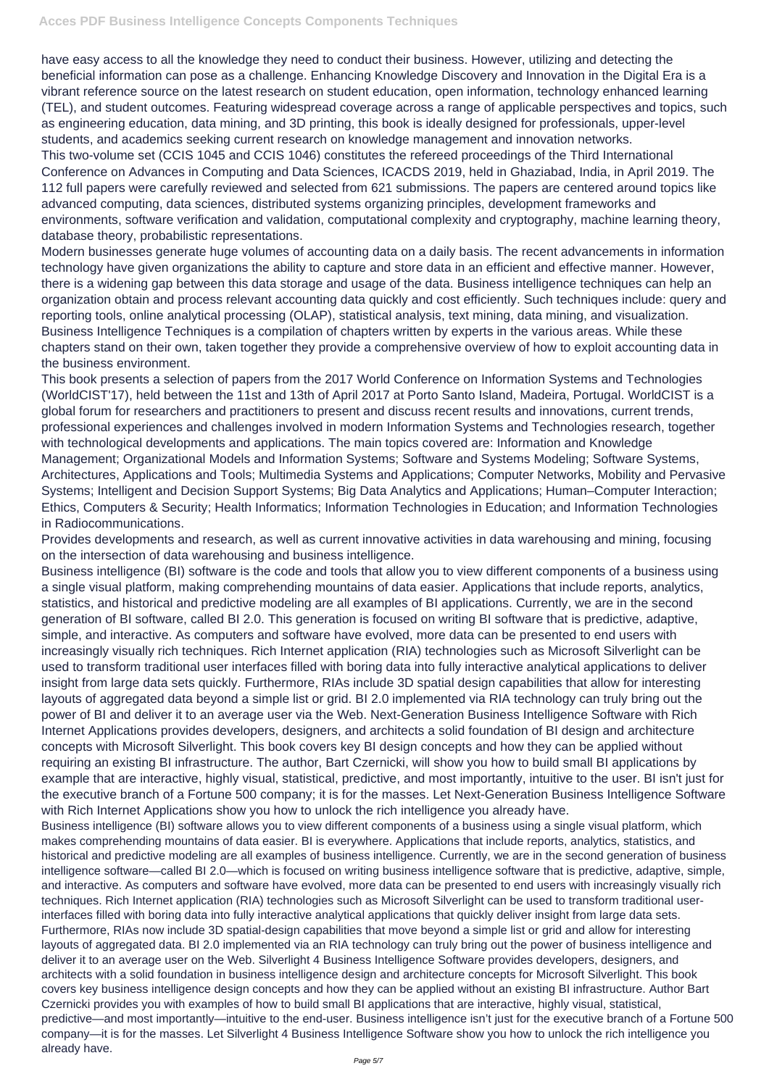have easy access to all the knowledge they need to conduct their business. However, utilizing and detecting the beneficial information can pose as a challenge. Enhancing Knowledge Discovery and Innovation in the Digital Era is a vibrant reference source on the latest research on student education, open information, technology enhanced learning (TEL), and student outcomes. Featuring widespread coverage across a range of applicable perspectives and topics, such as engineering education, data mining, and 3D printing, this book is ideally designed for professionals, upper-level students, and academics seeking current research on knowledge management and innovation networks. This two-volume set (CCIS 1045 and CCIS 1046) constitutes the refereed proceedings of the Third International Conference on Advances in Computing and Data Sciences, ICACDS 2019, held in Ghaziabad, India, in April 2019. The 112 full papers were carefully reviewed and selected from 621 submissions. The papers are centered around topics like advanced computing, data sciences, distributed systems organizing principles, development frameworks and environments, software verification and validation, computational complexity and cryptography, machine learning theory, database theory, probabilistic representations.

Modern businesses generate huge volumes of accounting data on a daily basis. The recent advancements in information technology have given organizations the ability to capture and store data in an efficient and effective manner. However, there is a widening gap between this data storage and usage of the data. Business intelligence techniques can help an organization obtain and process relevant accounting data quickly and cost efficiently. Such techniques include: query and reporting tools, online analytical processing (OLAP), statistical analysis, text mining, data mining, and visualization. Business Intelligence Techniques is a compilation of chapters written by experts in the various areas. While these chapters stand on their own, taken together they provide a comprehensive overview of how to exploit accounting data in the business environment.

This book presents a selection of papers from the 2017 World Conference on Information Systems and Technologies (WorldCIST'17), held between the 11st and 13th of April 2017 at Porto Santo Island, Madeira, Portugal. WorldCIST is a global forum for researchers and practitioners to present and discuss recent results and innovations, current trends, professional experiences and challenges involved in modern Information Systems and Technologies research, together with technological developments and applications. The main topics covered are: Information and Knowledge Management; Organizational Models and Information Systems; Software and Systems Modeling; Software Systems, Architectures, Applications and Tools; Multimedia Systems and Applications; Computer Networks, Mobility and Pervasive Systems; Intelligent and Decision Support Systems; Big Data Analytics and Applications; Human–Computer Interaction; Ethics, Computers & Security; Health Informatics; Information Technologies in Education; and Information Technologies in Radiocommunications.

Provides developments and research, as well as current innovative activities in data warehousing and mining, focusing on the intersection of data warehousing and business intelligence.

Business intelligence (BI) software is the code and tools that allow you to view different components of a business using a single visual platform, making comprehending mountains of data easier. Applications that include reports, analytics, statistics, and historical and predictive modeling are all examples of BI applications. Currently, we are in the second generation of BI software, called BI 2.0. This generation is focused on writing BI software that is predictive, adaptive, simple, and interactive. As computers and software have evolved, more data can be presented to end users with increasingly visually rich techniques. Rich Internet application (RIA) technologies such as Microsoft Silverlight can be used to transform traditional user interfaces filled with boring data into fully interactive analytical applications to deliver insight from large data sets quickly. Furthermore, RIAs include 3D spatial design capabilities that allow for interesting layouts of aggregated data beyond a simple list or grid. BI 2.0 implemented via RIA technology can truly bring out the power of BI and deliver it to an average user via the Web. Next-Generation Business Intelligence Software with Rich Internet Applications provides developers, designers, and architects a solid foundation of BI design and architecture concepts with Microsoft Silverlight. This book covers key BI design concepts and how they can be applied without requiring an existing BI infrastructure. The author, Bart Czernicki, will show you how to build small BI applications by example that are interactive, highly visual, statistical, predictive, and most importantly, intuitive to the user. BI isn't just for the executive branch of a Fortune 500 company; it is for the masses. Let Next-Generation Business Intelligence Software with Rich Internet Applications show you how to unlock the rich intelligence you already have. Business intelligence (BI) software allows you to view different components of a business using a single visual platform, which makes comprehending mountains of data easier. BI is everywhere. Applications that include reports, analytics, statistics, and historical and predictive modeling are all examples of business intelligence. Currently, we are in the second generation of business intelligence software—called BI 2.0—which is focused on writing business intelligence software that is predictive, adaptive, simple, and interactive. As computers and software have evolved, more data can be presented to end users with increasingly visually rich techniques. Rich Internet application (RIA) technologies such as Microsoft Silverlight can be used to transform traditional userinterfaces filled with boring data into fully interactive analytical applications that quickly deliver insight from large data sets. Furthermore, RIAs now include 3D spatial-design capabilities that move beyond a simple list or grid and allow for interesting layouts of aggregated data. BI 2.0 implemented via an RIA technology can truly bring out the power of business intelligence and deliver it to an average user on the Web. Silverlight 4 Business Intelligence Software provides developers, designers, and architects with a solid foundation in business intelligence design and architecture concepts for Microsoft Silverlight. This book covers key business intelligence design concepts and how they can be applied without an existing BI infrastructure. Author Bart Czernicki provides you with examples of how to build small BI applications that are interactive, highly visual, statistical, predictive—and most importantly—intuitive to the end-user. Business intelligence isn't just for the executive branch of a Fortune 500 company—it is for the masses. Let Silverlight 4 Business Intelligence Software show you how to unlock the rich intelligence you already have.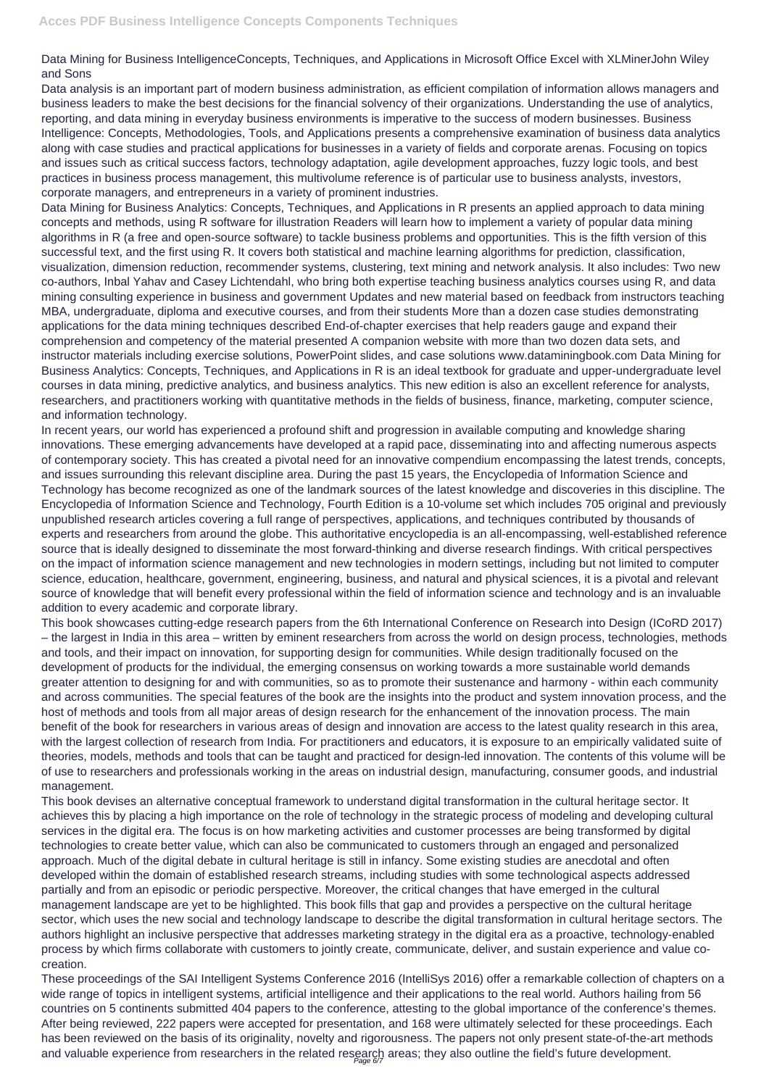## Data Mining for Business IntelligenceConcepts, Techniques, and Applications in Microsoft Office Excel with XLMinerJohn Wiley and Sons

Data analysis is an important part of modern business administration, as efficient compilation of information allows managers and business leaders to make the best decisions for the financial solvency of their organizations. Understanding the use of analytics, reporting, and data mining in everyday business environments is imperative to the success of modern businesses. Business Intelligence: Concepts, Methodologies, Tools, and Applications presents a comprehensive examination of business data analytics along with case studies and practical applications for businesses in a variety of fields and corporate arenas. Focusing on topics and issues such as critical success factors, technology adaptation, agile development approaches, fuzzy logic tools, and best practices in business process management, this multivolume reference is of particular use to business analysts, investors, corporate managers, and entrepreneurs in a variety of prominent industries.

Data Mining for Business Analytics: Concepts, Techniques, and Applications in R presents an applied approach to data mining concepts and methods, using R software for illustration Readers will learn how to implement a variety of popular data mining algorithms in R (a free and open-source software) to tackle business problems and opportunities. This is the fifth version of this successful text, and the first using R. It covers both statistical and machine learning algorithms for prediction, classification, visualization, dimension reduction, recommender systems, clustering, text mining and network analysis. It also includes: Two new co-authors, Inbal Yahav and Casey Lichtendahl, who bring both expertise teaching business analytics courses using R, and data mining consulting experience in business and government Updates and new material based on feedback from instructors teaching MBA, undergraduate, diploma and executive courses, and from their students More than a dozen case studies demonstrating applications for the data mining techniques described End-of-chapter exercises that help readers gauge and expand their comprehension and competency of the material presented A companion website with more than two dozen data sets, and instructor materials including exercise solutions, PowerPoint slides, and case solutions www.dataminingbook.com Data Mining for Business Analytics: Concepts, Techniques, and Applications in R is an ideal textbook for graduate and upper-undergraduate level courses in data mining, predictive analytics, and business analytics. This new edition is also an excellent reference for analysts, researchers, and practitioners working with quantitative methods in the fields of business, finance, marketing, computer science, and information technology.

This book devises an alternative conceptual framework to understand digital transformation in the cultural heritage sector. It achieves this by placing a high importance on the role of technology in the strategic process of modeling and developing cultural services in the digital era. The focus is on how marketing activities and customer processes are being transformed by digital technologies to create better value, which can also be communicated to customers through an engaged and personalized approach. Much of the digital debate in cultural heritage is still in infancy. Some existing studies are anecdotal and often developed within the domain of established research streams, including studies with some technological aspects addressed partially and from an episodic or periodic perspective. Moreover, the critical changes that have emerged in the cultural management landscape are yet to be highlighted. This book fills that gap and provides a perspective on the cultural heritage sector, which uses the new social and technology landscape to describe the digital transformation in cultural heritage sectors. The authors highlight an inclusive perspective that addresses marketing strategy in the digital era as a proactive, technology-enabled process by which firms collaborate with customers to jointly create, communicate, deliver, and sustain experience and value cocreation. These proceedings of the SAI Intelligent Systems Conference 2016 (IntelliSys 2016) offer a remarkable collection of chapters on a wide range of topics in intelligent systems, artificial intelligence and their applications to the real world. Authors hailing from 56 countries on 5 continents submitted 404 papers to the conference, attesting to the global importance of the conference's themes. After being reviewed, 222 papers were accepted for presentation, and 168 were ultimately selected for these proceedings. Each has been reviewed on the basis of its originality, novelty and rigorousness. The papers not only present state-of-the-art methods and valuable experience from researchers in the related research areas; they also outline the field's future development.

In recent years, our world has experienced a profound shift and progression in available computing and knowledge sharing innovations. These emerging advancements have developed at a rapid pace, disseminating into and affecting numerous aspects of contemporary society. This has created a pivotal need for an innovative compendium encompassing the latest trends, concepts, and issues surrounding this relevant discipline area. During the past 15 years, the Encyclopedia of Information Science and Technology has become recognized as one of the landmark sources of the latest knowledge and discoveries in this discipline. The Encyclopedia of Information Science and Technology, Fourth Edition is a 10-volume set which includes 705 original and previously unpublished research articles covering a full range of perspectives, applications, and techniques contributed by thousands of experts and researchers from around the globe. This authoritative encyclopedia is an all-encompassing, well-established reference source that is ideally designed to disseminate the most forward-thinking and diverse research findings. With critical perspectives on the impact of information science management and new technologies in modern settings, including but not limited to computer science, education, healthcare, government, engineering, business, and natural and physical sciences, it is a pivotal and relevant source of knowledge that will benefit every professional within the field of information science and technology and is an invaluable addition to every academic and corporate library.

This book showcases cutting-edge research papers from the 6th International Conference on Research into Design (ICoRD 2017) – the largest in India in this area – written by eminent researchers from across the world on design process, technologies, methods and tools, and their impact on innovation, for supporting design for communities. While design traditionally focused on the development of products for the individual, the emerging consensus on working towards a more sustainable world demands greater attention to designing for and with communities, so as to promote their sustenance and harmony - within each community and across communities. The special features of the book are the insights into the product and system innovation process, and the host of methods and tools from all major areas of design research for the enhancement of the innovation process. The main benefit of the book for researchers in various areas of design and innovation are access to the latest quality research in this area, with the largest collection of research from India. For practitioners and educators, it is exposure to an empirically validated suite of theories, models, methods and tools that can be taught and practiced for design-led innovation. The contents of this volume will be of use to researchers and professionals working in the areas on industrial design, manufacturing, consumer goods, and industrial management.